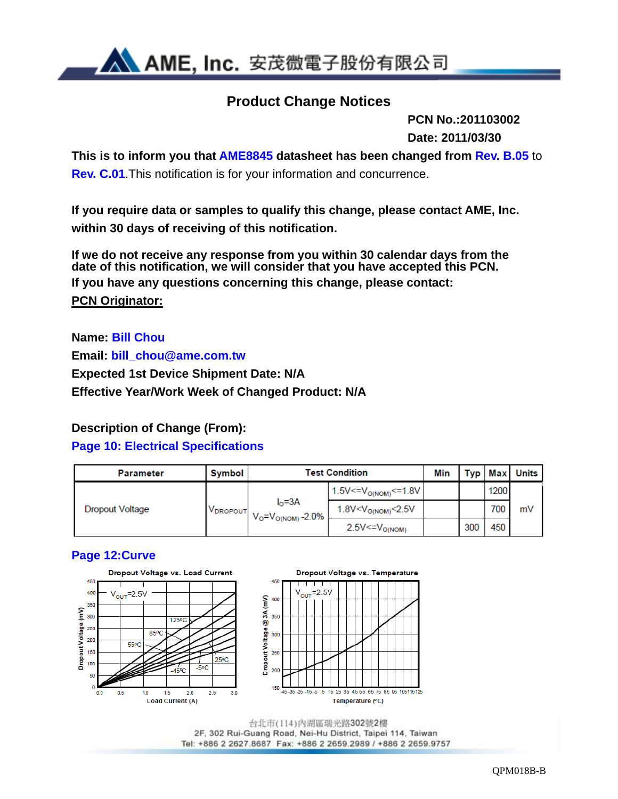

## **Product Change Notices**

 **PCN No.:201103002 Date: 2011/03/30**

**This is to inform you that AME8845 datasheet has been changed from Rev. B.05** to **Rev. C.01**.This notification is for your information and concurrence.

**If you require data or samples to qualify this change, please contact AME, Inc. within 30 days of receiving of this notification.** 

**If we do not receive any response from you within 30 calendar days from the date of this notification, we will consider that you have accepted this PCN. If you have any questions concerning this change, please contact: PCN Originator:** 

**Name: Bill Chou Email: bill\_chou@ame.com.tw Expected 1st Device Shipment Date: N/A Effective Year/Work Week of Changed Product: N/A** 

### **Description of Change (From):**

### **Page 10: Electrical Specifications**

| <b>Parameter</b> | <b>Symbol</b> | <b>Test Condition</b>                           |                                       |  |     |      | <b>Typ Max Units</b> |
|------------------|---------------|-------------------------------------------------|---------------------------------------|--|-----|------|----------------------|
| Dropout Voltage  |               |                                                 | $1.5V < V_{O(NOM)} < 1.8V$            |  |     | 1200 |                      |
|                  | VDROPOUT      | $I0=3A$<br>$V_{\rm O} = V_{\rm O(NOM)} - 2.0\%$ | $1.8$ V <v<sub>O(NOM)&lt;2.5V</v<sub> |  |     | 700  | m٧                   |
|                  |               |                                                 | $2.5V < = VO(NOM)$                    |  | 300 | 450  |                      |

### **Page 12:Curve**



2F, 302 Rui-Guang Road, Nei-Hu District, Taipei 114, Taiwan Tel: +886 2 2627.8687 Fax: +886 2 2659.2989 / +886 2 2659.9757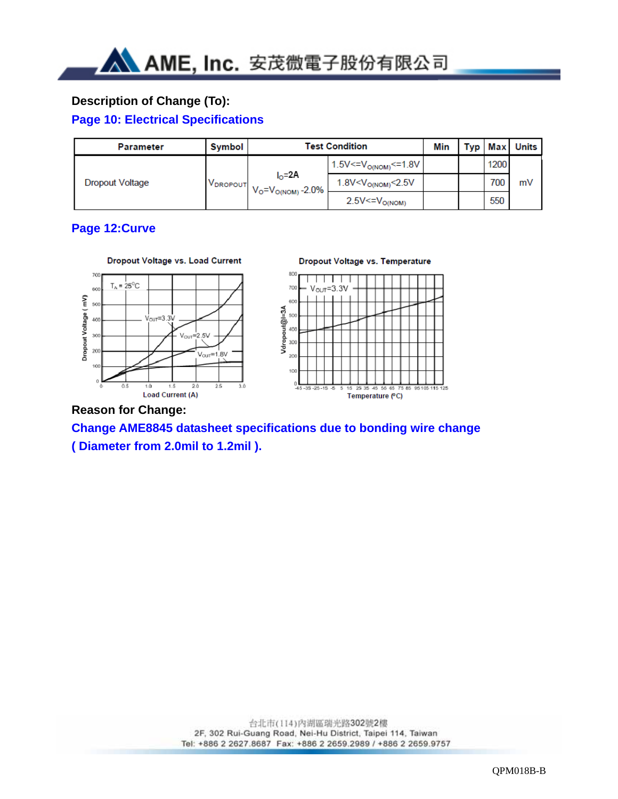### **Description of Change (To):**

### **Page 10: Electrical Specifications**

| <b>Parameter</b>                               | Symbol | <b>Test Condition</b>                      |                          |      |     | <b>Typ Max Units</b> |
|------------------------------------------------|--------|--------------------------------------------|--------------------------|------|-----|----------------------|
| <b>Dropout Voltage</b><br>V <sub>DROPOUT</sub> |        | 1.5V<= $V_{O(NOM)}$ <=1.8V                 |                          | 1200 |     |                      |
|                                                |        | $I_0 = 2A$<br>$V_{O} = V_{O(NOM)} - 2.0\%$ | 1.8V< $V_{O(NOM)}$ <2.5V |      | 700 | mV                   |
|                                                |        |                                            | $2.5V < = VO(NOM)$       |      | 550 |                      |

### **Page 12:Curve**



### **Reason for Change:**

**Change AME8845 datasheet specifications due to bonding wire change ( Diameter from 2.0mil to 1.2mil ).**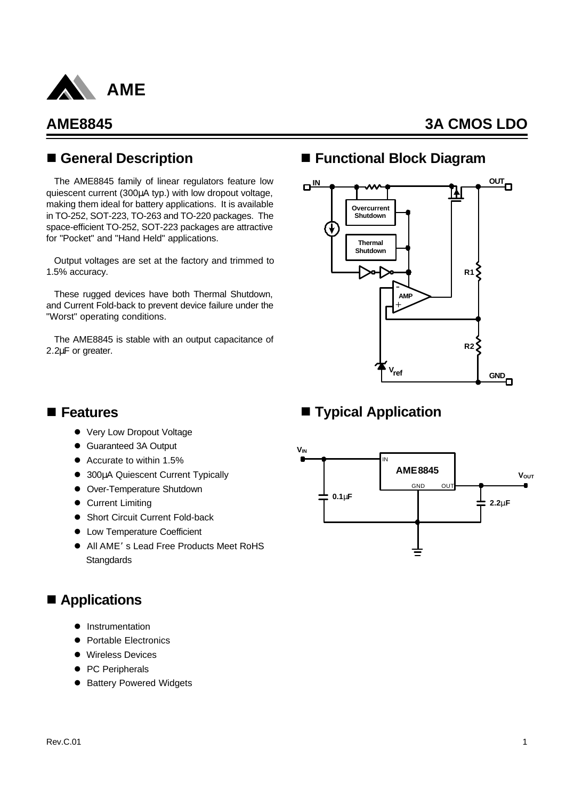

## n **General Description**

The AME8845 family of linear regulators feature low quiescent current (300μA typ.) with low dropout voltage, making them ideal for battery applications. It is available in TO-252, SOT-223, TO-263 and TO-220 packages. The space-efficient TO-252, SOT-223 packages are attractive for "Pocket" and "Hand Held" applications.

Output voltages are set at the factory and trimmed to 1.5% accuracy.

These rugged devices have both Thermal Shutdown, and Current Fold-back to prevent device failure under the "Worst" operating conditions.

The AME8845 is stable with an output capacitance of 2.2μF or greater.

## ■ Functional Block Diagram



## ■ **Typical Application**

### n **Features**

- Very Low Dropout Voltage
- Guaranteed 3A Output
- $\bullet$  Accurate to within 1.5%
- **.** 300μA Quiescent Current Typically
- **•** Over-Temperature Shutdown
- **Current Limiting**
- Short Circuit Current Fold-back
- Low Temperature Coefficient
- All AME's Lead Free Products Meet RoHS **Stangdards**

## ■ Applications

- **Instrumentation**
- **Portable Electronics**
- **•** Wireless Devices
- PC Peripherals
- **Battery Powered Widgets**

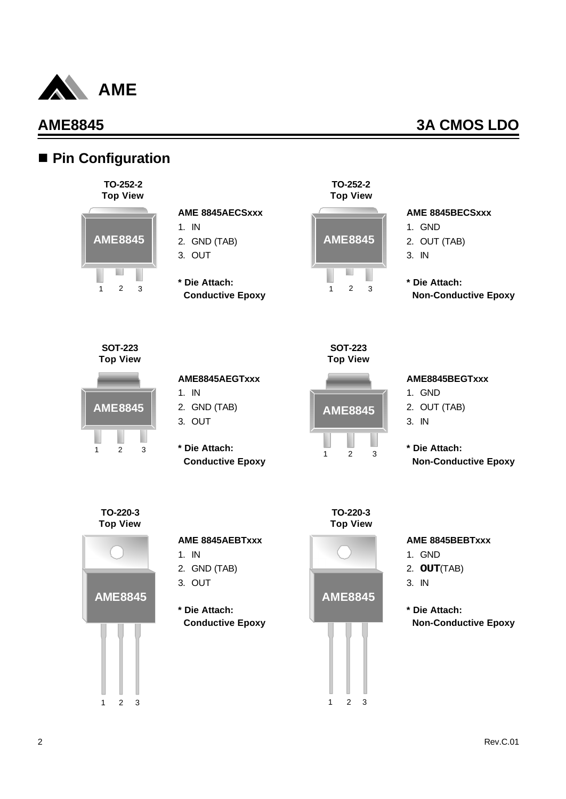

## ■ Pin Configuration



### **AME 8845AECSxxx**

- 1. IN
- 2. GND (TAB)
- 3. OUT
- **\* Die Attach: Conductive Epoxy**



#### **AME 8845BECSxxx**

- 1. GND
- 2. OUT (TAB)
- 3. IN
- **\* Die Attach: Non-Conductive Epoxy**

**SOT-223 Top View**



#### **AME8845AEGTxxx**

- 1. IN
- 2. GND (TAB)
- 3. OUT
- **\* Die Attach: Conductive Epoxy**



**SOT-223**

#### **AME8845BEGTxxx**

- 1. GND
- 2. OUT (TAB)
- 3. IN
- **\* Die Attach: Non-Conductive Epoxy**



#### **AME 8845AEBTxxx**

- 1. IN
- 2. GND (TAB)
- 3. OUT
- **\* Die Attach: Conductive Epoxy**





### **AME 8845BEBTxxx**

- 1. GND
- 2. **OUT**(TAB)
- 3. IN
- **\* Die Attach: Non-Conductive Epoxy**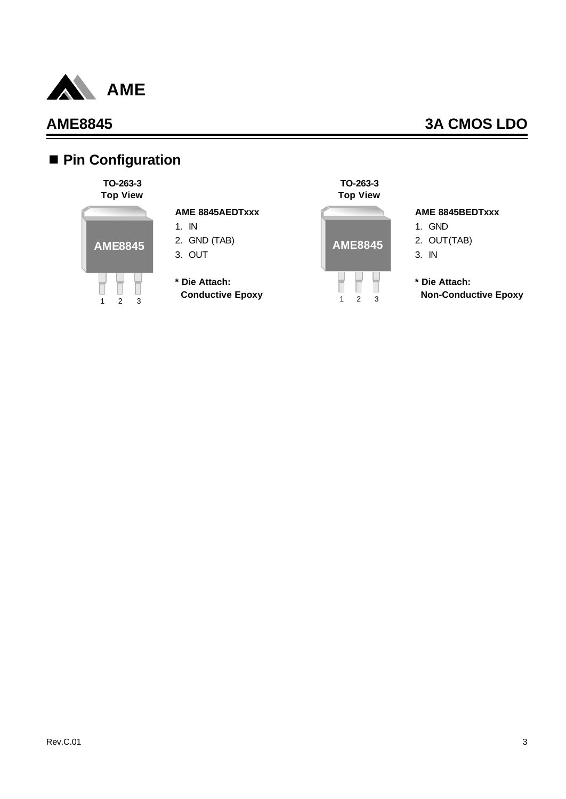

# n **Pin Configuration**

#### **TO-263-3 Top View**



### **AME 8845AEDTxxx**

- 1. IN
- 2. GND (TAB)
- 3. OUT
- **\* Die Attach: Conductive Epoxy**



#### **AME 8845BEDTxxx**

- 1. GND 2. OUT(TAB) 3. IN
- **\* Die Attach: Non-Conductive Epoxy**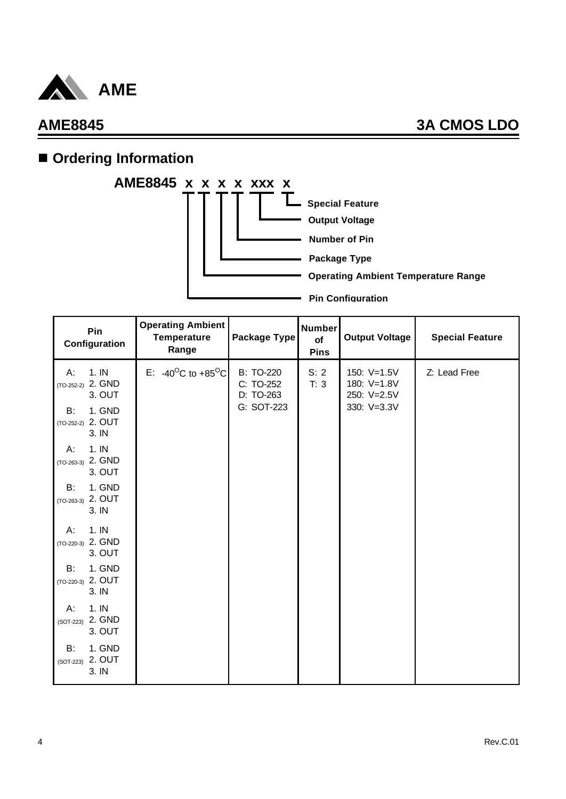

# **n** Ordering Information



| Pin<br>Configuration                                   | <b>Operating Ambient</b><br><b>Temperature</b><br>Range | Package Type                               | <b>Number</b><br>of<br><b>Pins</b> | <b>Output Voltage</b>                     | <b>Special Feature</b> |
|--------------------------------------------------------|---------------------------------------------------------|--------------------------------------------|------------------------------------|-------------------------------------------|------------------------|
| 1.1N<br>A:<br>$(TO-252-2)$ 2. GND<br>3. OUT            | E: -40 <sup>o</sup> C to +85 <sup>o</sup> C             | <b>B: TO-220</b><br>C: TO-252<br>D: TO-263 | S: 2<br>T: 3                       | 150: V=1.5V<br>180: V=1.8V<br>250: V=2.5V | Z: Lead Free           |
| 1. GND<br><b>B:</b><br>2. OUT<br>$(TO-252-2)$<br>3. IN |                                                         | G: SOT-223                                 |                                    | 330: V=3.3V                               |                        |
| 1.1N<br>Α.<br>2. GND<br>$(TO-263-3)$<br>3. OUT         |                                                         |                                            |                                    |                                           |                        |
| 1. GND<br>B:<br>2. OUT<br>$(TO-263-3)$<br>3. IN        |                                                         |                                            |                                    |                                           |                        |
| 1.1N<br>А:<br>(TO-220-3) 2. GND<br>3. OUT              |                                                         |                                            |                                    |                                           |                        |
| 1. GND<br>B:<br>2. OUT<br>$(TO-220-3)$<br>3. IN        |                                                         |                                            |                                    |                                           |                        |
| 1.1N<br>A:<br>2. GND<br>$(SOT-223)$<br>3. OUT          |                                                         |                                            |                                    |                                           |                        |
| 1. GND<br>B:<br>2. OUT<br>(SOT-223)<br>3. IN           |                                                         |                                            |                                    |                                           |                        |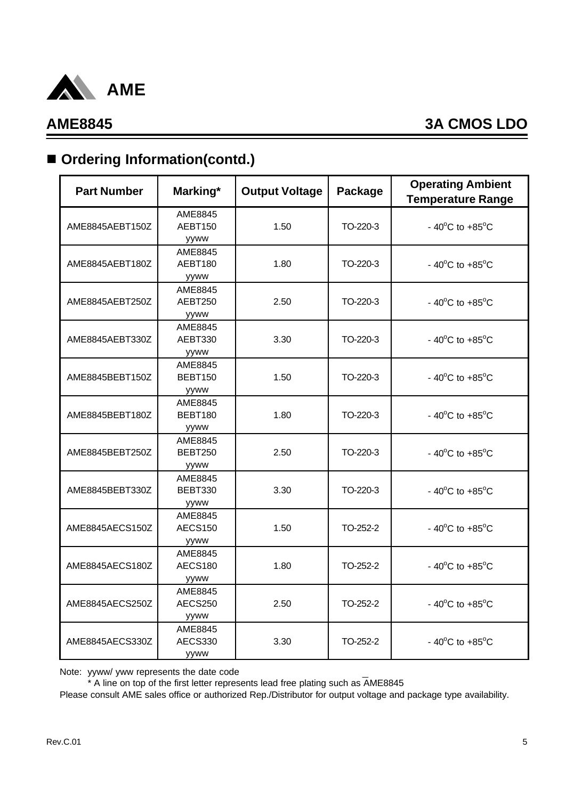

# ■ Ordering Information(contd.)

| <b>Part Number</b> | Marking*                          | <b>Output Voltage</b> | Package  | <b>Operating Ambient</b><br><b>Temperature Range</b> |
|--------------------|-----------------------------------|-----------------------|----------|------------------------------------------------------|
| AME8845AEBT150Z    | AME8845<br>AEBT150<br>yyww        | 1.50                  | TO-220-3 | - $40^{\circ}$ C to $+85^{\circ}$ C                  |
| AME8845AEBT180Z    | AME8845<br>AEBT180<br>yyww        | 1.80                  | TO-220-3 | - 40 $^{\circ}$ C to +85 $^{\circ}$ C                |
| AME8845AEBT250Z    | AME8845<br>AEBT250<br>yyww        | 2.50                  | TO-220-3 | - 40 $^{\circ}$ C to +85 $^{\circ}$ C                |
| AME8845AEBT330Z    | AME8845<br>AEBT330<br>yyww        | 3.30                  | TO-220-3 | - 40 $^{\circ}$ C to +85 $^{\circ}$ C                |
| AME8845BEBT150Z    | AME8845<br><b>BEBT150</b><br>yyww | 1.50                  | TO-220-3 | - 40 $^{\circ}$ C to +85 $^{\circ}$ C                |
| AME8845BEBT180Z    | AME8845<br>BEBT180<br>yyww        | 1.80                  | TO-220-3 | $-40^{\circ}$ C to $+85^{\circ}$ C                   |
| AME8845BEBT250Z    | AME8845<br><b>BEBT250</b><br>yyww | 2.50                  | TO-220-3 | - 40 $^{\circ}$ C to +85 $^{\circ}$ C                |
| AME8845BEBT330Z    | AME8845<br>BEBT330<br>yyww        | 3.30                  | TO-220-3 | - 40 $^{\circ}$ C to +85 $^{\circ}$ C                |
| AME8845AECS150Z    | AME8845<br><b>AECS150</b><br>yyww | 1.50                  | TO-252-2 | - $40^{\circ}$ C to $+85^{\circ}$ C                  |
| AME8845AECS180Z    | AME8845<br><b>AECS180</b><br>yyww | 1.80                  | TO-252-2 | - 40 $^{\circ}$ C to +85 $^{\circ}$ C                |
| AME8845AECS250Z    | AME8845<br>AECS250<br>yyww        | 2.50                  | TO-252-2 | - 40 $^{\circ}$ C to +85 $^{\circ}$ C                |
| AME8845AECS330Z    | AME8845<br>AECS330<br>yyww        | 3.30                  | TO-252-2 | - 40 $^{\circ}$ C to +85 $^{\circ}$ C                |

Note: yyww/ yww represents the date code

\* A line on top of the first letter represents lead free plating such as AME8845

Please consult AME sales office or authorized Rep./Distributor for output voltage and package type availability.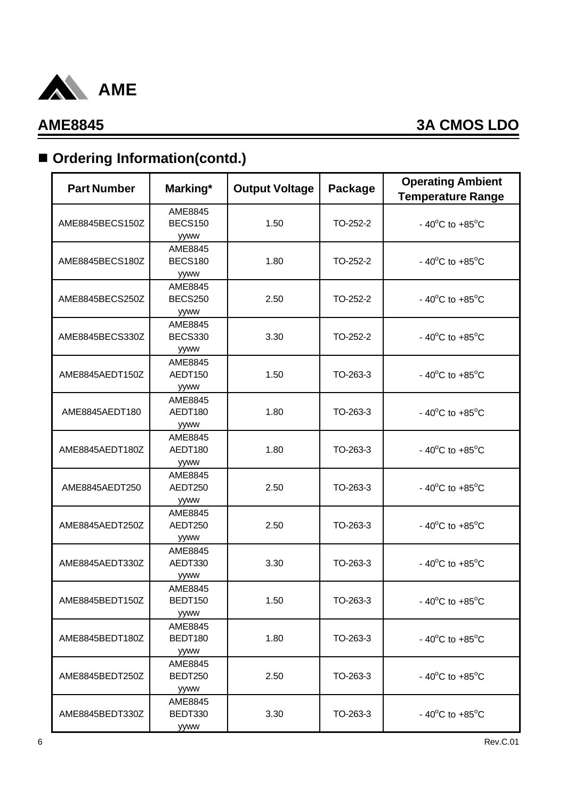

# ■ Ordering Information(contd.)

| <b>Part Number</b> | Marking*                          | <b>Output Voltage</b> | Package  | <b>Operating Ambient</b><br><b>Temperature Range</b> |
|--------------------|-----------------------------------|-----------------------|----------|------------------------------------------------------|
| AME8845BECS150Z    | AME8845<br><b>BECS150</b><br>yyww | 1.50                  | TO-252-2 | - 40 $^{\circ}$ C to +85 $^{\circ}$ C                |
| AME8845BECS180Z    | AME8845<br><b>BECS180</b><br>yyww | 1.80                  | TO-252-2 | - 40 $^{\circ}$ C to +85 $^{\circ}$ C                |
| AME8845BECS250Z    | AME8845<br><b>BECS250</b><br>yyww | 2.50                  | TO-252-2 | - 40 $^{\circ}$ C to +85 $^{\circ}$ C                |
| AME8845BECS330Z    | AME8845<br><b>BECS330</b><br>yyww | 3.30                  | TO-252-2 | - 40 $^{\circ}$ C to +85 $^{\circ}$ C                |
| AME8845AEDT150Z    | AME8845<br>AEDT150<br>yyww        | 1.50                  | TO-263-3 | - 40 $^{\circ}$ C to +85 $^{\circ}$ C                |
| AME8845AEDT180     | AME8845<br>AEDT180<br>yyww        | 1.80                  | TO-263-3 | - 40 $^{\circ}$ C to +85 $^{\circ}$ C                |
| AME8845AEDT180Z    | AME8845<br>AEDT180<br>yyww        | 1.80                  | TO-263-3 | - 40 $^{\circ}$ C to +85 $^{\circ}$ C                |
| AME8845AEDT250     | AME8845<br>AEDT250<br>yyww        | 2.50                  | TO-263-3 | - 40 $^{\circ}$ C to +85 $^{\circ}$ C                |
| AME8845AEDT250Z    | AME8845<br>AEDT250<br>yyww        | 2.50                  | TO-263-3 | - 40 $^{\circ}$ C to +85 $^{\circ}$ C                |
| AME8845AEDT330Z    | AME8845<br>AEDT330<br>yyww        | 3.30                  | TO-263-3 | - 40 $^{\circ}$ C to +85 $^{\circ}$ C                |
| AME8845BEDT150Z    | AME8845<br>BEDT150<br>yyww        | 1.50                  | TO-263-3 | - $40^{\circ}$ C to $+85^{\circ}$ C                  |
| AME8845BEDT180Z    | AME8845<br>BEDT180<br>yyww        | 1.80                  | TO-263-3 | - 40 $^{\circ}$ C to +85 $^{\circ}$ C                |
| AME8845BEDT250Z    | AME8845<br>BEDT250<br>yyww        | 2.50                  | TO-263-3 | - 40 $^{\circ}$ C to +85 $^{\circ}$ C                |
| AME8845BEDT330Z    | AME8845<br>BEDT330<br>yyww        | 3.30                  | TO-263-3 | - 40 $^{\circ}$ C to +85 $^{\circ}$ C                |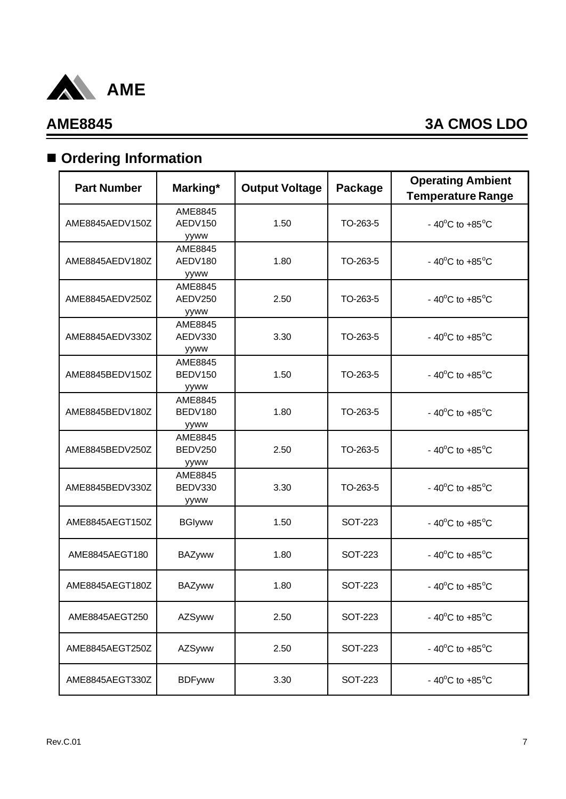

# $\blacksquare$  Ordering Information

| <b>Part Number</b> | Marking*                          | <b>Output Voltage</b> | Package        | <b>Operating Ambient</b><br><b>Temperature Range</b> |
|--------------------|-----------------------------------|-----------------------|----------------|------------------------------------------------------|
| AME8845AEDV150Z    | AME8845<br>AEDV150<br>yyww        | 1.50                  | TO-263-5       | - 40 $^{\circ}$ C to +85 $^{\circ}$ C                |
| AME8845AEDV180Z    | AME8845<br>AEDV180<br>yyww        | 1.80                  | TO-263-5       | - 40 $^{\circ}$ C to +85 $^{\circ}$ C                |
| AME8845AEDV250Z    | AME8845<br>AEDV250<br>yyww        | 2.50                  | TO-263-5       | - 40 $^{\circ}$ C to +85 $^{\circ}$ C                |
| AME8845AEDV330Z    | AME8845<br>AEDV330<br>yyww        | 3.30                  | TO-263-5       | - 40 $^{\circ}$ C to +85 $^{\circ}$ C                |
| AME8845BEDV150Z    | AME8845<br>BEDV150<br>yyww        | 1.50                  | TO-263-5       | - 40 $^{\circ}$ C to +85 $^{\circ}$ C                |
| AME8845BEDV180Z    | AME8845<br>BEDV180<br>yyww        | 1.80                  | TO-263-5       | - 40 $^{\circ}$ C to +85 $^{\circ}$ C                |
| AME8845BEDV250Z    | AME8845<br><b>BEDV250</b><br>yyww | 2.50                  | TO-263-5       | - 40 $^{\circ}$ C to +85 $^{\circ}$ C                |
| AME8845BEDV330Z    | AME8845<br>BEDV330<br>yyww        | 3.30                  | TO-263-5       | - 40 $^{\circ}$ C to +85 $^{\circ}$ C                |
| AME8845AEGT150Z    | <b>BGIyww</b>                     | 1.50                  | <b>SOT-223</b> | - 40 $^{\circ}$ C to +85 $^{\circ}$ C                |
| AME8845AEGT180     | <b>BAZyww</b>                     | 1.80                  | SOT-223        | - 40 $^{\circ}$ C to +85 $^{\circ}$ C                |
| AME8845AEGT180Z    | <b>BAZyww</b>                     | 1.80                  | SOT-223        | - 40 $^{\circ}$ C to +85 $^{\circ}$ C                |
| AME8845AEGT250     | AZSyww                            | 2.50                  | <b>SOT-223</b> | - 40 $^{\circ}$ C to +85 $^{\circ}$ C                |
| AME8845AEGT250Z    | AZSyww                            | 2.50                  | <b>SOT-223</b> | - 40 $^{\circ}$ C to +85 $^{\circ}$ C                |
| AME8845AEGT330Z    | <b>BDFyww</b>                     | 3.30                  | <b>SOT-223</b> | - 40 $^{\circ}$ C to +85 $^{\circ}$ C                |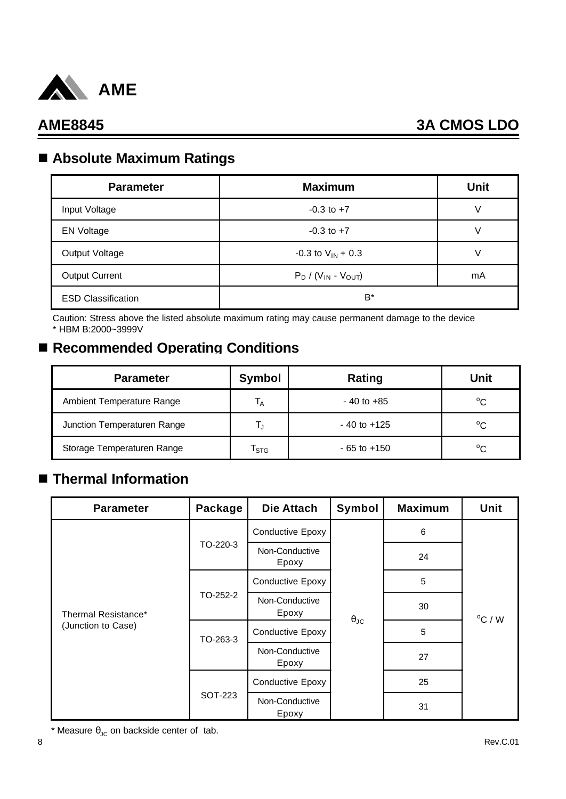

## n **Absolute Maximum Ratings**

| <b>Parameter</b>          | <b>Maximum</b>             | <b>Unit</b> |
|---------------------------|----------------------------|-------------|
| Input Voltage             | $-0.3$ to $+7$             | V           |
| <b>EN Voltage</b>         | $-0.3$ to $+7$             |             |
| Output Voltage            | $-0.3$ to $V_{IN}$ + 0.3   |             |
| <b>Output Current</b>     | $P_D / (V_{IN} - V_{OUT})$ | mA          |
| <b>ESD Classification</b> | $B^*$                      |             |

Caution: Stress above the listed absolute maximum rating may cause permanent damage to the device \* HBM B:2000~3999V

## ■ Recommended Operating Conditions

| <b>Parameter</b>            | Symbol                    | Rating          | Unit         |
|-----------------------------|---------------------------|-----------------|--------------|
| Ambient Temperature Range   | $\mathsf{I}_{\mathsf{A}}$ | $-40$ to $+85$  | $^{\circ}C$  |
| Junction Temperaturen Range |                           | $-40$ to $+125$ | $^{\circ}$ C |
| Storage Temperaturen Range  | $\mathsf{T}_{\text{STG}}$ | $-65$ to $+150$ | $^{\circ}C$  |

## n **Thermal Information**

| <b>Parameter</b>                          | Package  | <b>Die Attach</b>       | Symbol               | <b>Maximum</b> | <b>Unit</b>      |
|-------------------------------------------|----------|-------------------------|----------------------|----------------|------------------|
| Thermal Resistance*<br>(Junction to Case) |          | <b>Conductive Epoxy</b> |                      | 6              |                  |
|                                           | TO-220-3 | Non-Conductive<br>Epoxy |                      | 24             |                  |
|                                           |          | <b>Conductive Epoxy</b> |                      | 5              |                  |
|                                           | TO-252-2 | Non-Conductive<br>Epoxy | $\theta_{\text{JC}}$ | 30             | $^{\circ}$ C / W |
|                                           | TO-263-3 | <b>Conductive Epoxy</b> |                      | 5              |                  |
|                                           |          | Non-Conductive<br>Epoxy |                      | 27             |                  |
|                                           |          | <b>Conductive Epoxy</b> |                      | 25             |                  |
|                                           | SOT-223  | Non-Conductive<br>Epoxy |                      | 31             |                  |

\* Measure  $\theta_{JC}$  on backside center of tab.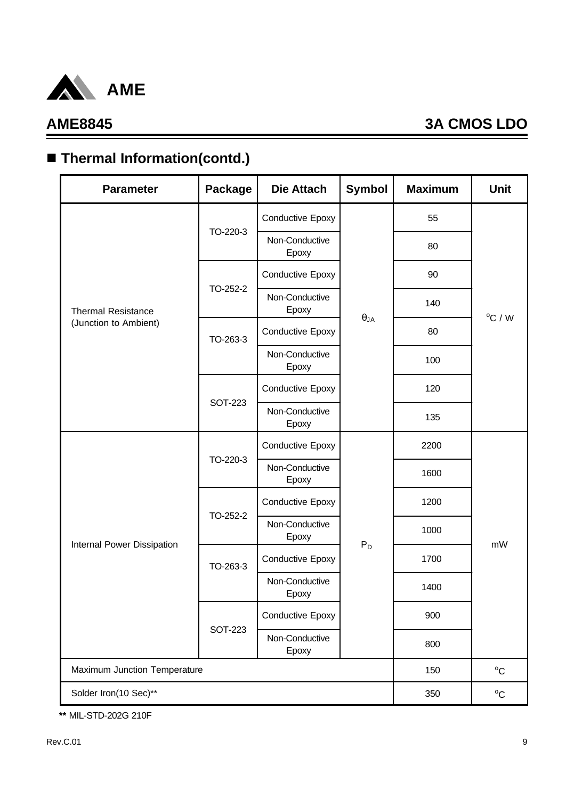

# ■ Thermal Information(contd.)

| <b>Parameter</b>             | <b>Package</b> | <b>Die Attach</b>       | <b>Symbol</b> | <b>Maximum</b> | <b>Unit</b>      |  |
|------------------------------|----------------|-------------------------|---------------|----------------|------------------|--|
|                              |                | Conductive Epoxy        |               | 55             |                  |  |
|                              | TO-220-3       | Non-Conductive<br>Epoxy |               | 80             |                  |  |
|                              |                | Conductive Epoxy        |               | 90             |                  |  |
| <b>Thermal Resistance</b>    | TO-252-2       | Non-Conductive<br>Epoxy |               | 140            | $^{\circ}$ C / W |  |
| (Junction to Ambient)        | TO-263-3       | Conductive Epoxy        | $\theta_{JA}$ | 80             |                  |  |
|                              |                | Non-Conductive<br>Epoxy |               | 100            |                  |  |
|                              |                | Conductive Epoxy        |               | 120            |                  |  |
|                              | <b>SOT-223</b> | Non-Conductive<br>Epoxy |               | 135            |                  |  |
|                              |                | Conductive Epoxy        |               | 2200           |                  |  |
|                              | TO-220-3       | Non-Conductive<br>Epoxy |               | 1600           |                  |  |
|                              |                | Conductive Epoxy        |               | 1200           | mW               |  |
| Internal Power Dissipation   | TO-252-2       | Non-Conductive<br>Epoxy | $P_D$         | 1000           |                  |  |
|                              | TO-263-3       | Conductive Epoxy        | 1700          |                |                  |  |
|                              |                | Non-Conductive<br>Epoxy |               | 1400           |                  |  |
|                              |                | Conductive Epoxy        |               | 900            |                  |  |
|                              | <b>SOT-223</b> | Non-Conductive<br>Epoxy |               | 800            |                  |  |
| Maximum Junction Temperature | 150            | $^{\circ}C$             |               |                |                  |  |
| Solder Iron(10 Sec)**        |                |                         |               |                |                  |  |

**\*\*** MIL-STD-202G 210F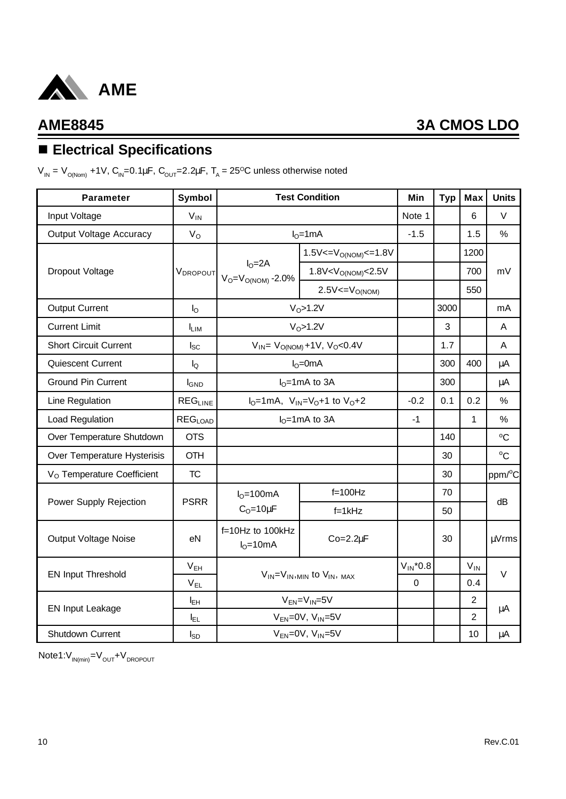

# n **Electrical Specifications**

V<sub>IN</sub> = V<sub>O(Nom)</sub> +1V, C<sub>IN</sub>=0.1μF, C<sub>OUT</sub>=2.2μF, T<sub>A</sub> = 25<sup>o</sup>C unless otherwise noted

| <b>Parameter</b>                       | Symbol                    |                                               | <b>Test Condition</b>                       | Min           | <b>Typ</b> | <b>Max</b>     | <b>Units</b>        |
|----------------------------------------|---------------------------|-----------------------------------------------|---------------------------------------------|---------------|------------|----------------|---------------------|
| Input Voltage                          | $V_{IN}$                  |                                               |                                             | Note 1        |            | 6              | $\vee$              |
| <b>Output Voltage Accuracy</b>         | $V_{\rm O}$               |                                               | $IO=1mA$                                    | $-1.5$        |            | 1.5            | $\frac{0}{0}$       |
|                                        |                           |                                               | $1.5V < = VO(NOM) < = 1.8V$                 |               |            | 1200           |                     |
| Dropout Voltage                        | VDROPOUT                  | $IO=2A$<br>$V_O = V_{O(NOM)} - 2.0\%$         | 1.8V < V <sub>O(NOM)</sub> < 2.5V           |               |            | 700            | mV                  |
|                                        |                           |                                               | $2.5V = VO(NOM)$                            |               |            | 550            |                     |
| <b>Output Current</b>                  | $I_{\rm O}$               |                                               | $VO$ >1.2V                                  |               | 3000       |                | mA                  |
| <b>Current Limit</b>                   | <b>LIM</b>                |                                               | $VO$ >1.2V                                  |               | 3          |                | A                   |
| <b>Short Circuit Current</b>           | $I_{SC}$                  |                                               | $V_{IN} = V_{O(NOM)} + 1V$ , $V_{O} < 0.4V$ |               | 1.7        |                | A                   |
| Quiescent Current                      | $I_{\mathsf{Q}}$          |                                               | $IO=0mA$                                    |               | 300        | 400            | μA                  |
| <b>Ground Pin Current</b>              | <b>I</b> GND              |                                               | $IO=1mA$ to 3A                              |               | 300        |                | μA                  |
| Line Regulation                        | <b>REGLINE</b>            | $I_0 = 1$ mA, $V_{1N} = V_0 + 1$ to $V_0 + 2$ |                                             | $-0.2$        | 0.1        | 0.2            | $\frac{0}{0}$       |
| Load Regulation                        | <b>REG<sub>LOAD</sub></b> |                                               | $IO=1mA$ to 3A                              | -1            |            | $\mathbf{1}$   | %                   |
| Over Temperature Shutdown              | <b>OTS</b>                |                                               |                                             |               | 140        |                | $^{\circ}C$         |
| Over Temperature Hysterisis            | <b>OTH</b>                |                                               |                                             |               | 30         |                | $^{\circ}C$         |
| V <sub>O</sub> Temperature Coefficient | <b>TC</b>                 |                                               |                                             |               | 30         |                | ppm/ <sup>o</sup> C |
|                                        |                           | $IO=100mA$                                    | $f=100$ Hz                                  |               | 70         |                |                     |
| Power Supply Rejection                 | <b>PSRR</b>               | $C_0 = 10 \mu F$                              | $f = 1kHz$                                  |               | 50         |                | dB                  |
| <b>Output Voltage Noise</b>            | eN                        | f=10Hz to 100kHz<br>$IO=10mA$                 | $Co=2.2\mu F$                               |               | 30         |                | µVrms               |
|                                        | V <sub>EH</sub>           | $V_{IN} = V_{IN,MIN}$ to $V_{IN}$ , $MAX$     |                                             | $V_{IN}$ *0.8 |            | $V_{IN}$       |                     |
| <b>EN Input Threshold</b>              | $V_{EL}$                  |                                               |                                             | $\Omega$      |            | 0.4            | $\vee$              |
| <b>EN Input Leakage</b>                | $I_{EH}$                  |                                               | $V_{EN} = V_{IN} = 5V$                      |               |            | $\overline{2}$ | μA                  |
|                                        | ΙEL                       |                                               | $V_{EN}$ =0V, $V_{IN}$ =5V                  |               |            | 2              |                     |
| Shutdown Current                       | $I_{SD}$                  |                                               | $V_{EN} = 0V$ , $V_{IN} = 5V$               |               |            | 10             | μA                  |

 $Note1:V_{IN(min)}=V_{OUT}+V_{DROPOUT}$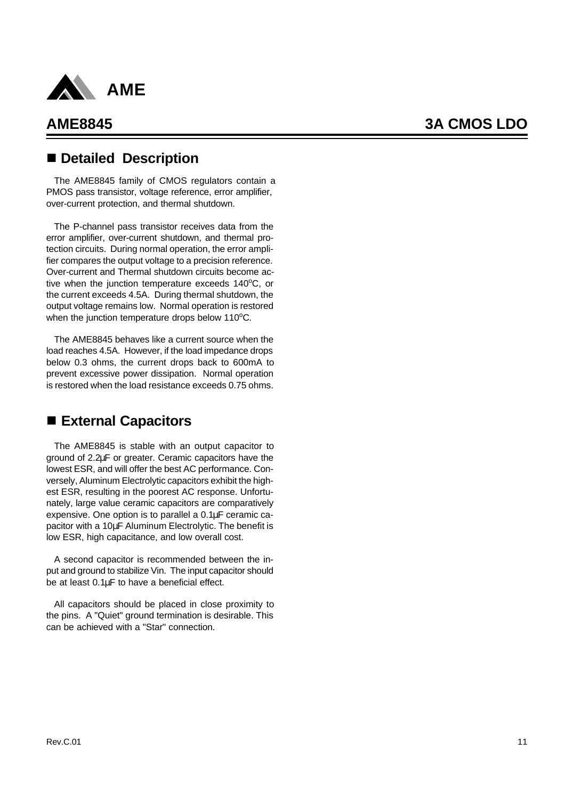

## n **Detailed Description**

The AME8845 family of CMOS regulators contain a PMOS pass transistor, voltage reference, error amplifier, over-current protection, and thermal shutdown.

The P-channel pass transistor receives data from the error amplifier, over-current shutdown, and thermal protection circuits. During normal operation, the error amplifier compares the output voltage to a precision reference. Over-current and Thermal shutdown circuits become active when the junction temperature exceeds  $140^{\circ}$ C, or the current exceeds 4.5A. During thermal shutdown, the output voltage remains low. Normal operation is restored when the junction temperature drops below  $110^{\circ}$ C.

The AME8845 behaves like a current source when the load reaches 4.5A. However, if the load impedance drops below 0.3 ohms, the current drops back to 600mA to prevent excessive power dissipation. Normal operation is restored when the load resistance exceeds 0.75 ohms.

## ■ External Capacitors

The AME8845 is stable with an output capacitor to ground of 2.2μF or greater. Ceramic capacitors have the lowest ESR, and will offer the best AC performance. Conversely, Aluminum Electrolytic capacitors exhibit the highest ESR, resulting in the poorest AC response. Unfortunately, large value ceramic capacitors are comparatively expensive. One option is to parallel a 0.1μF ceramic capacitor with a 10μF Aluminum Electrolytic. The benefit is low ESR, high capacitance, and low overall cost.

A second capacitor is recommended between the input and ground to stabilize Vin. The input capacitor should be at least 0.1μF to have a beneficial effect.

All capacitors should be placed in close proximity to the pins. A "Quiet" ground termination is desirable. This can be achieved with a "Star" connection.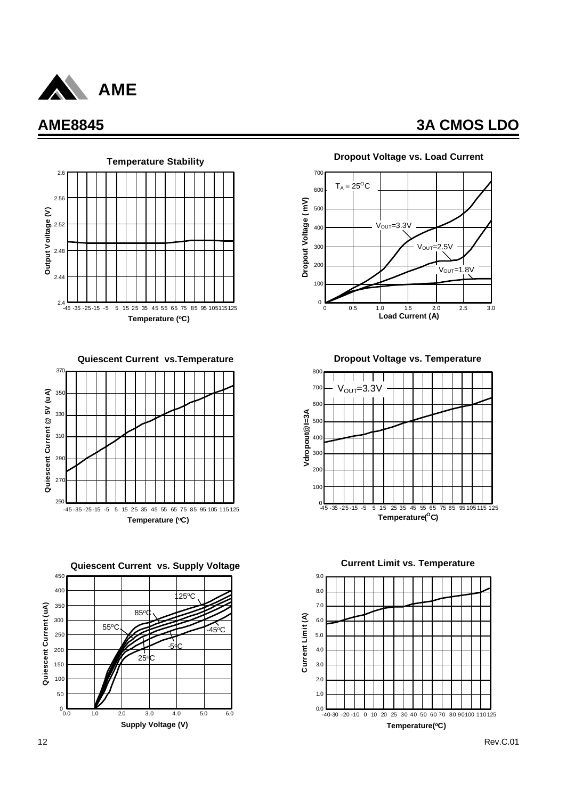



**Quiescent Current vs.Temperature**







#### **Dropout Voltage vs. Load Current**

**Dropout Voltage vs. Temperature**



**Current Limit vs. Temperature**

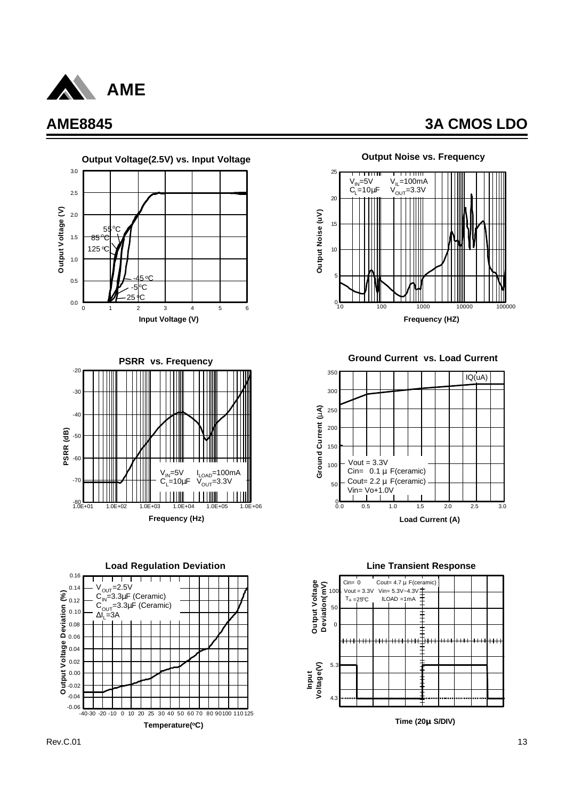





**Load Regulation Deviation**





**Ground Current vs. Load Current**



**Line Transient Response**

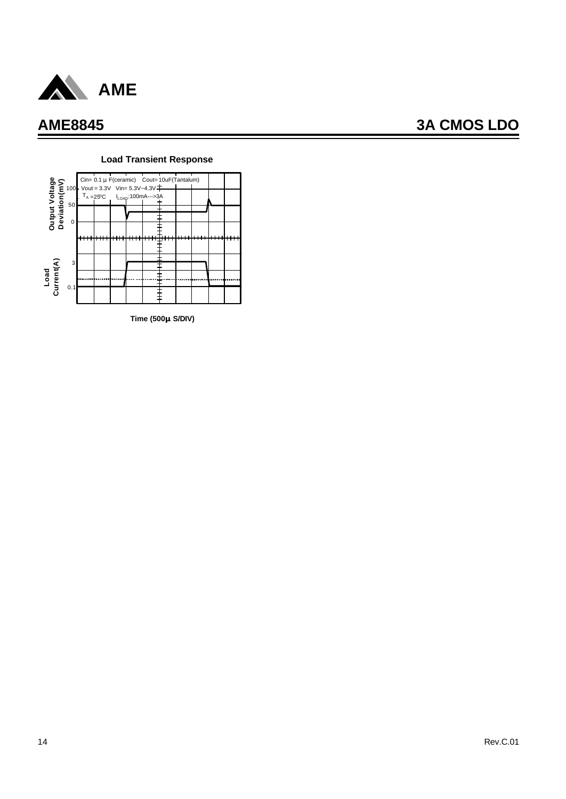



#### **Load Transient Response**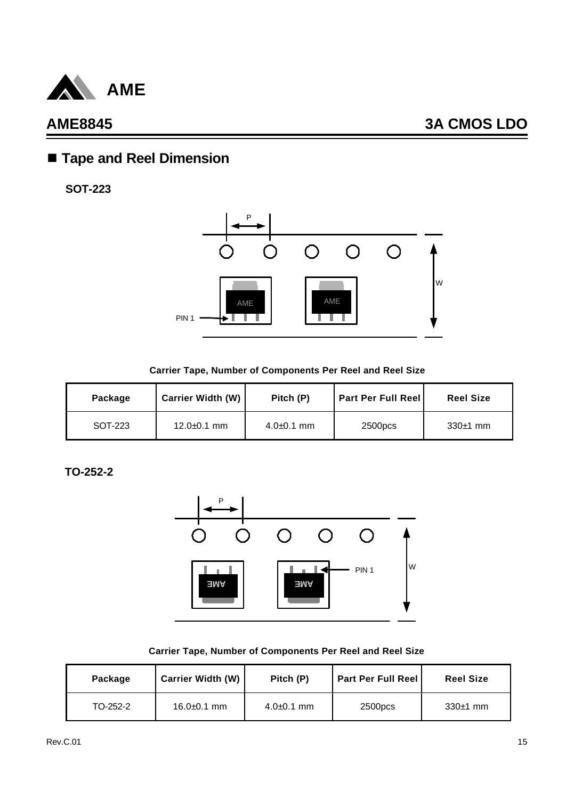

## n **Tape and Reel Dimension**

**SOT-223**



**Carrier Tape, Number of Components Per Reel and Reel Size**

| Package | <b>Carrier Width (W)</b> | Pitch (P)      | <b>Part Per Full Reell</b> | <b>Reel Size</b> |
|---------|--------------------------|----------------|----------------------------|------------------|
| SOT-223 | $12.0 \pm 0.1$ mm        | $4.0 + 0.1$ mm | 2500pcs                    | $330±1$ mm       |

**TO-252-2**



|  | Carrier Tape, Number of Components Per Reel and Reel Size |  |  |
|--|-----------------------------------------------------------|--|--|
|--|-----------------------------------------------------------|--|--|

| Package  | <b>Carrier Width (W)</b> | Pitch (P)      | <b>Part Per Full Reel</b> | <b>Reel Size</b> |
|----------|--------------------------|----------------|---------------------------|------------------|
| TO-252-2 | $16.0 \pm 0.1$ mm        | $4.0 + 0.1$ mm | 2500pcs                   | $330±1$ mm       |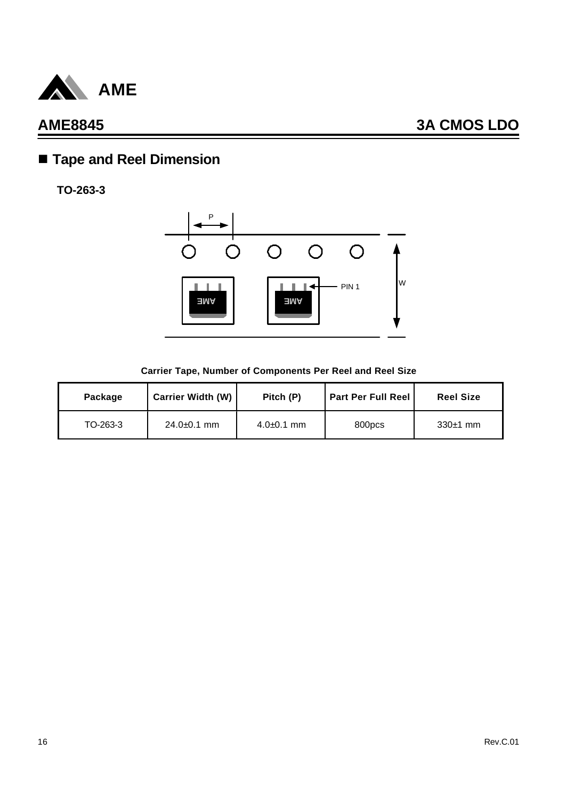

# n **Tape and Reel Dimension**

**TO-263-3**



#### **Carrier Tape, Number of Components Per Reel and Reel Size**

| Package  | <b>Carrier Width (W)</b> | Pitch (P)      | <b>Part Per Full Reel</b> | <b>Reel Size</b> |
|----------|--------------------------|----------------|---------------------------|------------------|
| TO-263-3 | $24.0 \pm 0.1$ mm        | $4.0 + 0.1$ mm | 800pcs                    | $330±1$ mm       |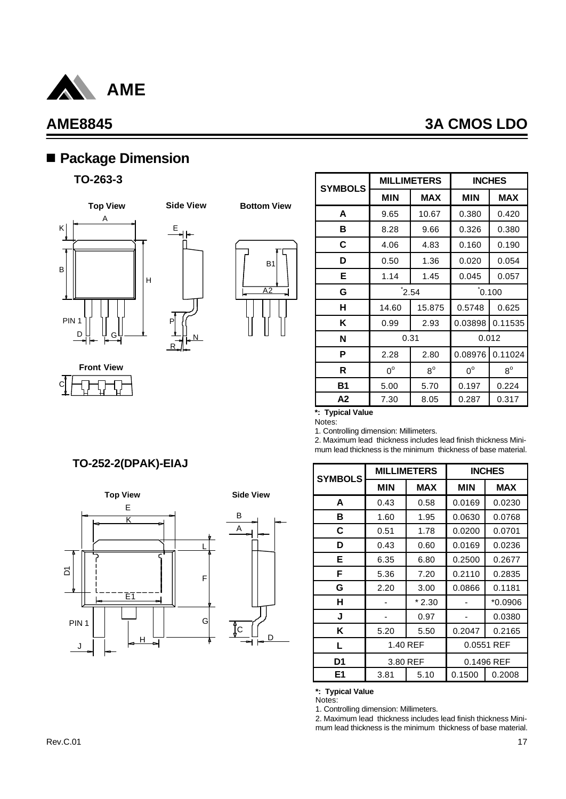

C

## **AME8845 3A CMOS LDO**

## n **Package Dimension**

### **TO-263-3**



**Front View**



R



**Bottom View**

| <b>SYMBOLS</b> |                       | <b>MILLIMETERS</b><br><b>INCHES</b> |             |             |
|----------------|-----------------------|-------------------------------------|-------------|-------------|
|                | <b>MIN</b>            | <b>MAX</b>                          | <b>MIN</b>  | <b>MAX</b>  |
| A              | 9.65                  | 10.67                               | 0.380       | 0.420       |
| в              | 8.28                  | 9.66                                | 0.326       | 0.380       |
| С              | 4.06                  | 4.83                                | 0.160       | 0.190       |
| D              | 0.50                  | 1.36                                | 0.020       | 0.054       |
| Е              | 1.14                  | 1.45                                | 0.045       | 0.057       |
| G              | $\mathbf{\dot{2}.54}$ |                                     | 0.100       |             |
| н              | 14.60                 | 15.875                              | 0.5748      | 0.625       |
| Κ              | 0.99                  | 2.93                                | 0.03898     | 0.11535     |
| N              | 0.31                  |                                     | 0.012       |             |
| P              | 2.28                  | 2.80                                | 0.08976     | 0.11024     |
| R              | $0^{\circ}$           | $8^{\circ}$                         | $0^{\circ}$ | $8^{\circ}$ |
| <b>B1</b>      | 5.00                  | 5.70                                | 0.197       | 0.224       |
| А2             | 7.30                  | 8.05                                | 0.287       | 0.317       |

### **\*: Typical Value**

Notes:

1. Controlling dimension: Millimeters.

2. Maximum lead thickness includes lead finish thickness Minimum lead thickness is the minimum thickness of base material.

| <b>SYMBOLS</b> | <b>MILLIMETERS</b><br><b>INCHES</b> |            |            |            |
|----------------|-------------------------------------|------------|------------|------------|
|                | <b>MIN</b>                          | <b>MAX</b> | <b>MIN</b> | <b>MAX</b> |
| A              | 0.43                                | 0.58       | 0.0169     | 0.0230     |
| в              | 1.60                                | 1.95       | 0.0630     | 0.0768     |
| C              | 0.51                                | 1.78       | 0.0200     | 0.0701     |
| D              | 0.43                                | 0.60       | 0.0169     | 0.0236     |
| Е              | 6.35                                | 6.80       | 0.2500     | 0.2677     |
| F              | 5.36                                | 7.20       | 0.2110     | 0.2835     |
| G              | 2.20                                | 3.00       | 0.0866     | 0.1181     |
| н              |                                     | $*2.30$    |            | $*0.0906$  |
| J              |                                     | 0.97       |            | 0.0380     |
| Κ              | 5.20                                | 5.50       | 0.2047     | 0.2165     |
| L              | 1.40 REF                            |            | 0.0551 REF |            |
| D1             | 3.80 REF                            |            | 0.1496 REF |            |
| E1             | 3.81                                | 5.10       | 0.1500     | 0.2008     |

#### **\*: Typical Value**

Notes:

1. Controlling dimension: Millimeters.

2. Maximum lead thickness includes lead finish thickness Minimum lead thickness is the minimum thickness of base material.

### **TO-252-2(DPAK)-EIAJ**

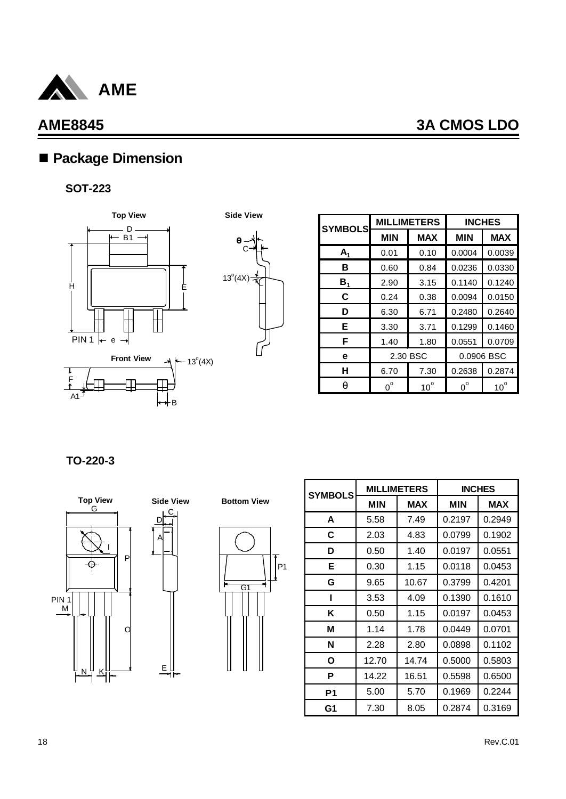

## ■ Package Dimension

### **SOT-223**





| <b>SYMBOLS</b> | <b>MILLIMETERS</b><br><b>INCHES</b> |              |             |              |
|----------------|-------------------------------------|--------------|-------------|--------------|
|                | <b>MIN</b>                          | <b>MAX</b>   | <b>MIN</b>  | <b>MAX</b>   |
| $A_1$          | 0.01                                | 0.10         | 0.0004      | 0.0039       |
| в              | 0.60                                | 0.84         | 0.0236      | 0.0330       |
| $B_{1}$        | 2.90                                | 3.15         | 0.1140      | 0.1240       |
| C              | 0.24                                | 0.38         | 0.0094      | 0.0150       |
| D              | 6.30                                | 6.71         | 0.2480      | 0.2640       |
| Е              | 3.30                                | 3.71         | 0.1299      | 0.1460       |
| F              | 1.40                                | 1.80         | 0.0551      | 0.0709       |
| е              | 2.30 BSC                            |              | 0.0906 BSC  |              |
| н              | 6.70                                | 7.30         | 0.2638      | 0.2874       |
| q              | $0^{\circ}$                         | $10^{\circ}$ | $0^{\circ}$ | $10^{\circ}$ |

**TO-220-3**





C

E



| <b>SYMBOLS</b> | <b>MILLIMETERS</b> |            | <b>INCHES</b> |            |
|----------------|--------------------|------------|---------------|------------|
|                | <b>MIN</b>         | <b>MAX</b> | <b>MIN</b>    | <b>MAX</b> |
| A              | 5.58               | 7.49       | 0.2197        | 0.2949     |
| C              | 2.03               | 4.83       | 0.0799        | 0.1902     |
| D              | 0.50               | 1.40       | 0.0197        | 0.0551     |
| Е              | 0.30               | 1.15       | 0.0118        | 0.0453     |
| G              | 9.65               | 10.67      | 0.3799        | 0.4201     |
| ı              | 3.53               | 4.09       | 0.1390        | 0.1610     |
| Κ              | 0.50               | 1.15       | 0.0197        | 0.0453     |
| М              | 1.14               | 1.78       | 0.0449        | 0.0701     |
| N              | 2.28               | 2.80       | 0.0898        | 0.1102     |
| Ο              | 12.70              | 14.74      | 0.5000        | 0.5803     |
| P              | 14.22              | 16.51      | 0.5598        | 0.6500     |
| P <sub>1</sub> | 5.00               | 5.70       | 0.1969        | 0.2244     |
| G1             | 7.30               | 8.05       | 0.2874        | 0.3169     |